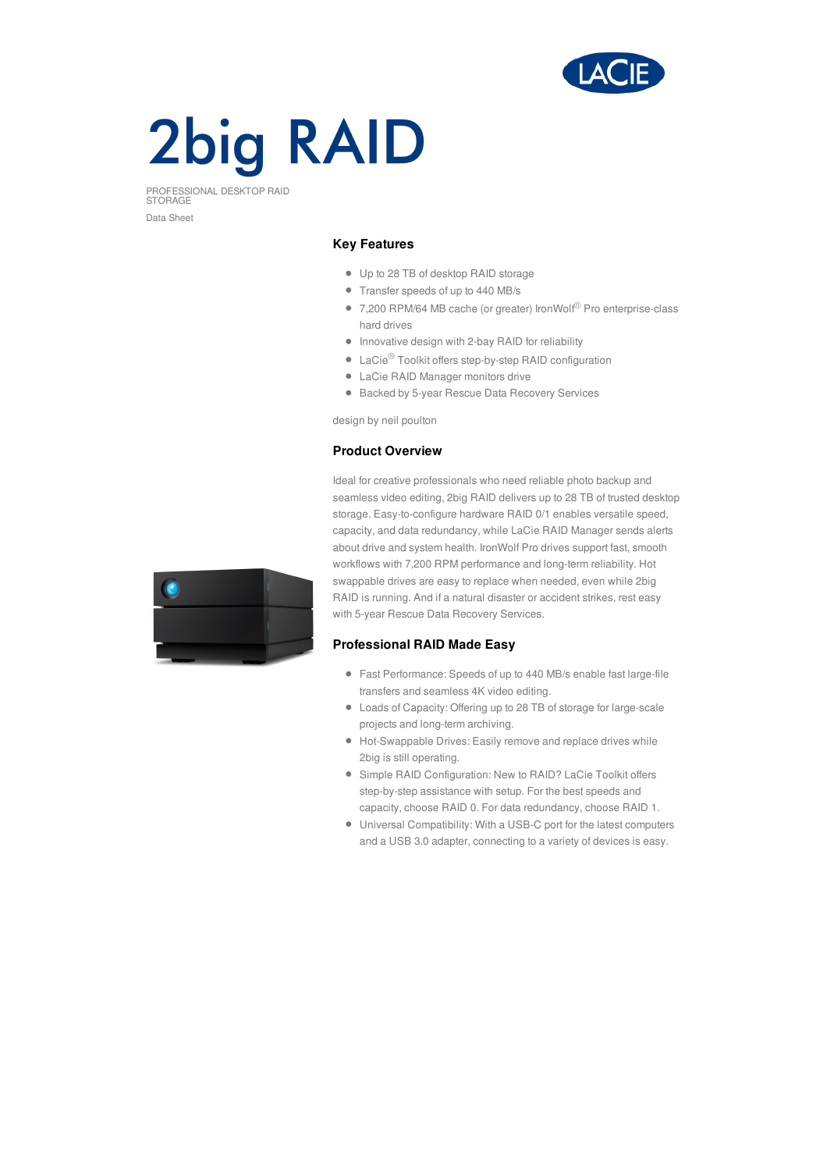

# **2big RAID**

PROFESSIONAL DESKTOP RAID STORAGE Data Sheet

## **Key Features**

- Up to 28 TB of desktop RAID storage
- Transfer speeds of up to 440 MB/s
- 7,200 RPM/64 MB cache (or greater) IronWolf<sup>®</sup> Pro enterprise-class hard drives
- $\bullet$  Innovative design with 2-bay RAID for reliability
- LaCie<sup>®</sup> Toolkit offers step-by-step RAID configuration
- LaCie RAID Manager monitors drive
- Backed by 5-year Rescue Data Recovery Services

design by neil poulton

# **Product Overview**

Ideal for creative professionals who need reliable photo backup and seamless video editing, 2big RAID delivers up to 28 TB of trusted desktop storage. Easy-to-configure hardware RAID 0/1 enables versatile speed, capacity, and data redundancy, while LaCie RAID Manager sends alerts about drive and system health. IronWolf Pro drives support fast, smooth workflows with 7,200 RPM performance and long-term reliability. Hot swappable drives are easy to replace when needed, even while 2big RAID is running. And if a natural disaster or accident strikes, rest easy with 5-year Rescue Data Recovery Services.

## **Professional RAID Made Easy**

- Fast Performance: Speeds of up to 440 MB/s enable fast large-file transfers and seamless 4K video editing.
- Loads of Capacity: Offering up to 28 TB of storage for large-scale projects and long-term archiving.
- Hot-Swappable Drives: Easily remove and replace drives while 2big is still operating.
- Simple RAID Configuration: New to RAID? LaCie Toolkit offers step-by-step assistance with setup. For the best speeds and capacity, choose RAID 0. For data redundancy, choose RAID 1.
- Universal Compatibility: With a USB-C port for the latest computers and a USB 3.0 adapter, connecting to a variety of devices is easy.